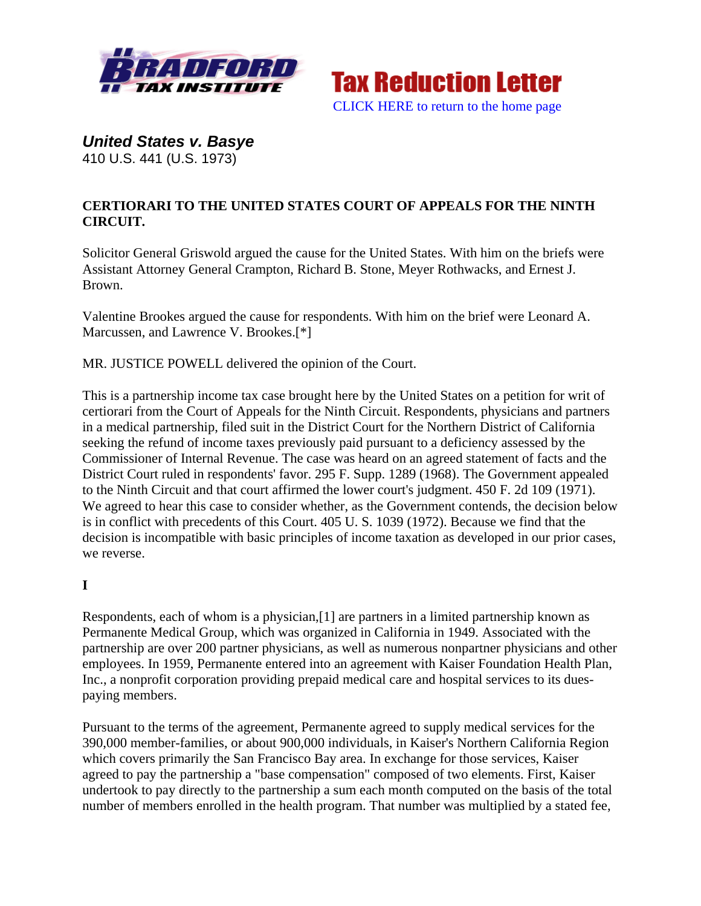



*United States v. Basye*  410 U.S. 441 (U.S. 1973)

# **CERTIORARI TO THE UNITED STATES COURT OF APPEALS FOR THE NINTH CIRCUIT.**

Solicitor General Griswold argued the cause for the United States. With him on the briefs were Assistant Attorney General Crampton, Richard B. Stone, Meyer Rothwacks, and Ernest J. Brown.

Valentine Brookes argued the cause for respondents. With him on the brief were Leonard A. Marcussen, and Lawrence V. Brookes.[\*]

MR. JUSTICE POWELL delivered the opinion of the Court.

This is a partnership income tax case brought here by the United States on a petition for writ of certiorari from the Court of Appeals for the Ninth Circuit. Respondents, physicians and partners in a medical partnership, filed suit in the District Court for the Northern District of California seeking the refund of income taxes previously paid pursuant to a deficiency assessed by the Commissioner of Internal Revenue. The case was heard on an agreed statement of facts and the District Court ruled in respondents' favor. 295 F. Supp. 1289 (1968). The Government appealed to the Ninth Circuit and that court affirmed the lower court's judgment. 450 F. 2d 109 (1971). We agreed to hear this case to consider whether, as the Government contends, the decision below is in conflict with precedents of this Court. 405 U. S. 1039 (1972). Because we find that the decision is incompatible with basic principles of income taxation as developed in our prior cases, we reverse.

## **I**

Respondents, each of whom is a physician,[1] are partners in a limited partnership known as Permanente Medical Group, which was organized in California in 1949. Associated with the partnership are over 200 partner physicians, as well as numerous nonpartner physicians and other employees. In 1959, Permanente entered into an agreement with Kaiser Foundation Health Plan, Inc., a nonprofit corporation providing prepaid medical care and hospital services to its duespaying members.

Pursuant to the terms of the agreement, Permanente agreed to supply medical services for the 390,000 member-families, or about 900,000 individuals, in Kaiser's Northern California Region which covers primarily the San Francisco Bay area. In exchange for those services, Kaiser agreed to pay the partnership a "base compensation" composed of two elements. First, Kaiser undertook to pay directly to the partnership a sum each month computed on the basis of the total number of members enrolled in the health program. That number was multiplied by a stated fee,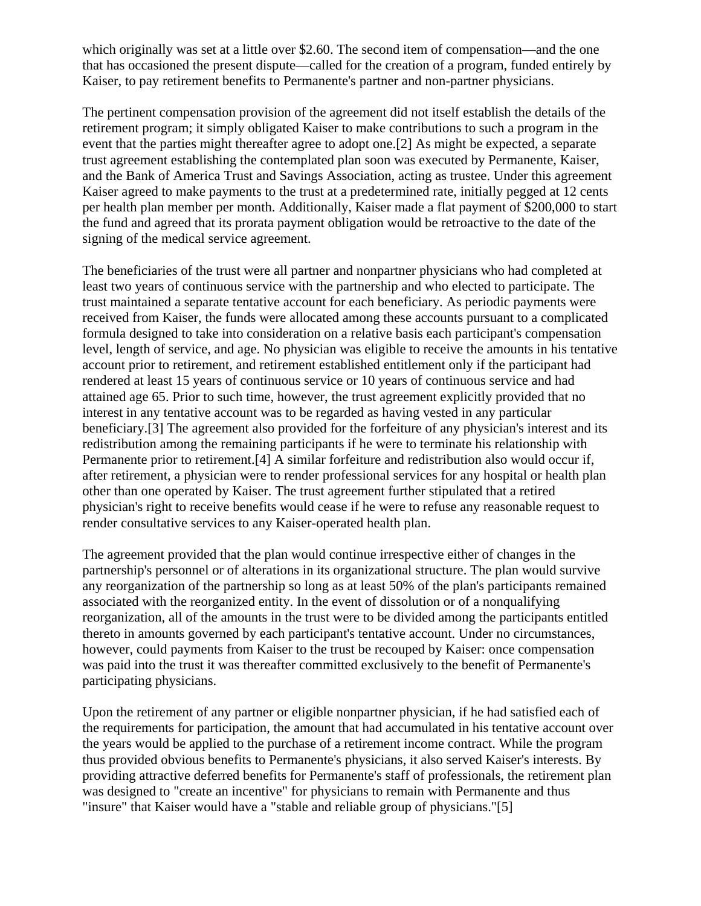which originally was set at a little over \$2.60. The second item of compensation—and the one that has occasioned the present dispute—called for the creation of a program, funded entirely by Kaiser, to pay retirement benefits to Permanente's partner and non-partner physicians.

The pertinent compensation provision of the agreement did not itself establish the details of the retirement program; it simply obligated Kaiser to make contributions to such a program in the event that the parties might thereafter agree to adopt one.[2] As might be expected, a separate trust agreement establishing the contemplated plan soon was executed by Permanente, Kaiser, and the Bank of America Trust and Savings Association, acting as trustee. Under this agreement Kaiser agreed to make payments to the trust at a predetermined rate, initially pegged at 12 cents per health plan member per month. Additionally, Kaiser made a flat payment of \$200,000 to start the fund and agreed that its prorata payment obligation would be retroactive to the date of the signing of the medical service agreement.

The beneficiaries of the trust were all partner and nonpartner physicians who had completed at least two years of continuous service with the partnership and who elected to participate. The trust maintained a separate tentative account for each beneficiary. As periodic payments were received from Kaiser, the funds were allocated among these accounts pursuant to a complicated formula designed to take into consideration on a relative basis each participant's compensation level, length of service, and age. No physician was eligible to receive the amounts in his tentative account prior to retirement, and retirement established entitlement only if the participant had rendered at least 15 years of continuous service or 10 years of continuous service and had attained age 65. Prior to such time, however, the trust agreement explicitly provided that no interest in any tentative account was to be regarded as having vested in any particular beneficiary.[3] The agreement also provided for the forfeiture of any physician's interest and its redistribution among the remaining participants if he were to terminate his relationship with Permanente prior to retirement.[4] A similar forfeiture and redistribution also would occur if, after retirement, a physician were to render professional services for any hospital or health plan other than one operated by Kaiser. The trust agreement further stipulated that a retired physician's right to receive benefits would cease if he were to refuse any reasonable request to render consultative services to any Kaiser-operated health plan.

The agreement provided that the plan would continue irrespective either of changes in the partnership's personnel or of alterations in its organizational structure. The plan would survive any reorganization of the partnership so long as at least 50% of the plan's participants remained associated with the reorganized entity. In the event of dissolution or of a nonqualifying reorganization, all of the amounts in the trust were to be divided among the participants entitled thereto in amounts governed by each participant's tentative account. Under no circumstances, however, could payments from Kaiser to the trust be recouped by Kaiser: once compensation was paid into the trust it was thereafter committed exclusively to the benefit of Permanente's participating physicians.

Upon the retirement of any partner or eligible nonpartner physician, if he had satisfied each of the requirements for participation, the amount that had accumulated in his tentative account over the years would be applied to the purchase of a retirement income contract. While the program thus provided obvious benefits to Permanente's physicians, it also served Kaiser's interests. By providing attractive deferred benefits for Permanente's staff of professionals, the retirement plan was designed to "create an incentive" for physicians to remain with Permanente and thus "insure" that Kaiser would have a "stable and reliable group of physicians."[5]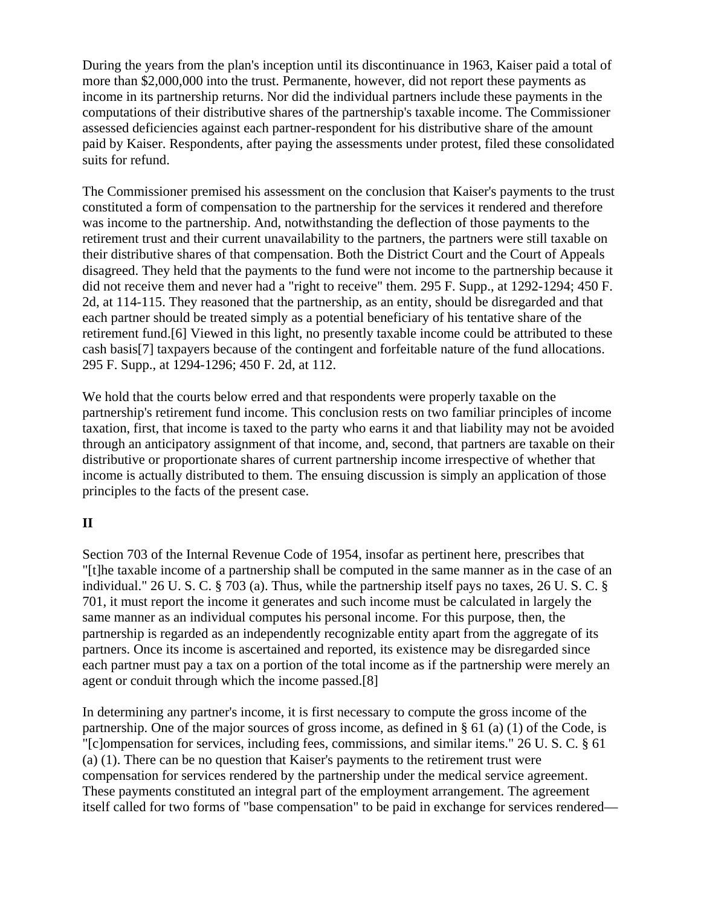During the years from the plan's inception until its discontinuance in 1963, Kaiser paid a total of more than \$2,000,000 into the trust. Permanente, however, did not report these payments as income in its partnership returns. Nor did the individual partners include these payments in the computations of their distributive shares of the partnership's taxable income. The Commissioner assessed deficiencies against each partner-respondent for his distributive share of the amount paid by Kaiser. Respondents, after paying the assessments under protest, filed these consolidated suits for refund.

The Commissioner premised his assessment on the conclusion that Kaiser's payments to the trust constituted a form of compensation to the partnership for the services it rendered and therefore was income to the partnership. And, notwithstanding the deflection of those payments to the retirement trust and their current unavailability to the partners, the partners were still taxable on their distributive shares of that compensation. Both the District Court and the Court of Appeals disagreed. They held that the payments to the fund were not income to the partnership because it did not receive them and never had a "right to receive" them. 295 F. Supp., at 1292-1294; 450 F. 2d, at 114-115. They reasoned that the partnership, as an entity, should be disregarded and that each partner should be treated simply as a potential beneficiary of his tentative share of the retirement fund.[6] Viewed in this light, no presently taxable income could be attributed to these cash basis[7] taxpayers because of the contingent and forfeitable nature of the fund allocations. 295 F. Supp., at 1294-1296; 450 F. 2d, at 112.

We hold that the courts below erred and that respondents were properly taxable on the partnership's retirement fund income. This conclusion rests on two familiar principles of income taxation, first, that income is taxed to the party who earns it and that liability may not be avoided through an anticipatory assignment of that income, and, second, that partners are taxable on their distributive or proportionate shares of current partnership income irrespective of whether that income is actually distributed to them. The ensuing discussion is simply an application of those principles to the facts of the present case.

## **II**

Section 703 of the Internal Revenue Code of 1954, insofar as pertinent here, prescribes that "[t]he taxable income of a partnership shall be computed in the same manner as in the case of an individual." 26 U. S. C. § 703 (a). Thus, while the partnership itself pays no taxes, 26 U. S. C. § 701, it must report the income it generates and such income must be calculated in largely the same manner as an individual computes his personal income. For this purpose, then, the partnership is regarded as an independently recognizable entity apart from the aggregate of its partners. Once its income is ascertained and reported, its existence may be disregarded since each partner must pay a tax on a portion of the total income as if the partnership were merely an agent or conduit through which the income passed.[8]

In determining any partner's income, it is first necessary to compute the gross income of the partnership. One of the major sources of gross income, as defined in § 61 (a) (1) of the Code, is "[c]ompensation for services, including fees, commissions, and similar items." 26 U. S. C. § 61 (a) (1). There can be no question that Kaiser's payments to the retirement trust were compensation for services rendered by the partnership under the medical service agreement. These payments constituted an integral part of the employment arrangement. The agreement itself called for two forms of "base compensation" to be paid in exchange for services rendered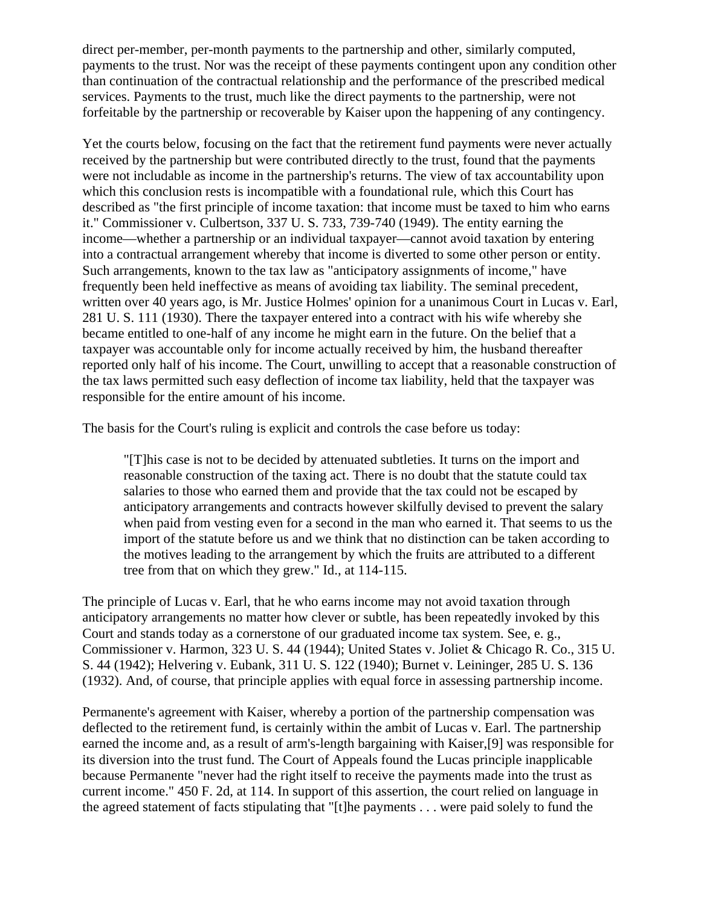direct per-member, per-month payments to the partnership and other, similarly computed, payments to the trust. Nor was the receipt of these payments contingent upon any condition other than continuation of the contractual relationship and the performance of the prescribed medical services. Payments to the trust, much like the direct payments to the partnership, were not forfeitable by the partnership or recoverable by Kaiser upon the happening of any contingency.

Yet the courts below, focusing on the fact that the retirement fund payments were never actually received by the partnership but were contributed directly to the trust, found that the payments were not includable as income in the partnership's returns. The view of tax accountability upon which this conclusion rests is incompatible with a foundational rule, which this Court has described as "the first principle of income taxation: that income must be taxed to him who earns it." Commissioner v. Culbertson, 337 U. S. 733, 739-740 (1949). The entity earning the income—whether a partnership or an individual taxpayer—cannot avoid taxation by entering into a contractual arrangement whereby that income is diverted to some other person or entity. Such arrangements, known to the tax law as "anticipatory assignments of income," have frequently been held ineffective as means of avoiding tax liability. The seminal precedent, written over 40 years ago, is Mr. Justice Holmes' opinion for a unanimous Court in Lucas v. Earl, 281 U. S. 111 (1930). There the taxpayer entered into a contract with his wife whereby she became entitled to one-half of any income he might earn in the future. On the belief that a taxpayer was accountable only for income actually received by him, the husband thereafter reported only half of his income. The Court, unwilling to accept that a reasonable construction of the tax laws permitted such easy deflection of income tax liability, held that the taxpayer was responsible for the entire amount of his income.

The basis for the Court's ruling is explicit and controls the case before us today:

"[T]his case is not to be decided by attenuated subtleties. It turns on the import and reasonable construction of the taxing act. There is no doubt that the statute could tax salaries to those who earned them and provide that the tax could not be escaped by anticipatory arrangements and contracts however skilfully devised to prevent the salary when paid from vesting even for a second in the man who earned it. That seems to us the import of the statute before us and we think that no distinction can be taken according to the motives leading to the arrangement by which the fruits are attributed to a different tree from that on which they grew." Id., at 114-115.

The principle of Lucas v. Earl, that he who earns income may not avoid taxation through anticipatory arrangements no matter how clever or subtle, has been repeatedly invoked by this Court and stands today as a cornerstone of our graduated income tax system. See, e. g., Commissioner v. Harmon, 323 U. S. 44 (1944); United States v. Joliet & Chicago R. Co., 315 U. S. 44 (1942); Helvering v. Eubank, 311 U. S. 122 (1940); Burnet v. Leininger, 285 U. S. 136 (1932). And, of course, that principle applies with equal force in assessing partnership income.

Permanente's agreement with Kaiser, whereby a portion of the partnership compensation was deflected to the retirement fund, is certainly within the ambit of Lucas v. Earl. The partnership earned the income and, as a result of arm's-length bargaining with Kaiser,[9] was responsible for its diversion into the trust fund. The Court of Appeals found the Lucas principle inapplicable because Permanente "never had the right itself to receive the payments made into the trust as current income." 450 F. 2d, at 114. In support of this assertion, the court relied on language in the agreed statement of facts stipulating that "[t]he payments . . . were paid solely to fund the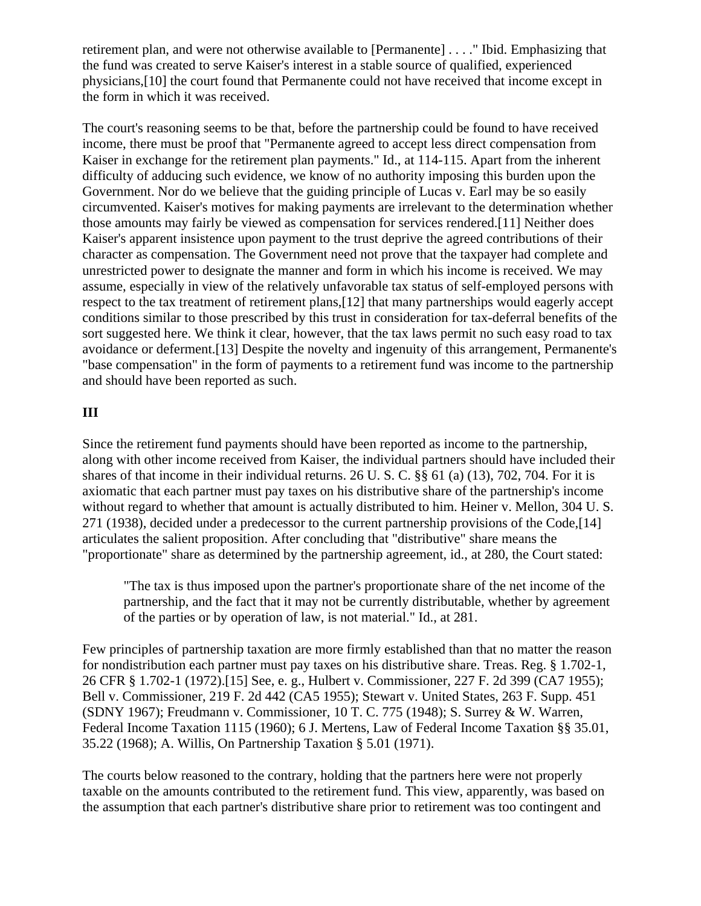retirement plan, and were not otherwise available to [Permanente] . . . ." Ibid. Emphasizing that the fund was created to serve Kaiser's interest in a stable source of qualified, experienced physicians,[10] the court found that Permanente could not have received that income except in the form in which it was received.

The court's reasoning seems to be that, before the partnership could be found to have received income, there must be proof that "Permanente agreed to accept less direct compensation from Kaiser in exchange for the retirement plan payments." Id., at 114-115. Apart from the inherent difficulty of adducing such evidence, we know of no authority imposing this burden upon the Government. Nor do we believe that the guiding principle of Lucas v. Earl may be so easily circumvented. Kaiser's motives for making payments are irrelevant to the determination whether those amounts may fairly be viewed as compensation for services rendered.[11] Neither does Kaiser's apparent insistence upon payment to the trust deprive the agreed contributions of their character as compensation. The Government need not prove that the taxpayer had complete and unrestricted power to designate the manner and form in which his income is received. We may assume, especially in view of the relatively unfavorable tax status of self-employed persons with respect to the tax treatment of retirement plans,[12] that many partnerships would eagerly accept conditions similar to those prescribed by this trust in consideration for tax-deferral benefits of the sort suggested here. We think it clear, however, that the tax laws permit no such easy road to tax avoidance or deferment.[13] Despite the novelty and ingenuity of this arrangement, Permanente's "base compensation" in the form of payments to a retirement fund was income to the partnership and should have been reported as such.

### **III**

Since the retirement fund payments should have been reported as income to the partnership, along with other income received from Kaiser, the individual partners should have included their shares of that income in their individual returns. 26 U. S. C. §§ 61 (a) (13), 702, 704. For it is axiomatic that each partner must pay taxes on his distributive share of the partnership's income without regard to whether that amount is actually distributed to him. Heiner v. Mellon, 304 U. S. 271 (1938), decided under a predecessor to the current partnership provisions of the Code,[14] articulates the salient proposition. After concluding that "distributive" share means the "proportionate" share as determined by the partnership agreement, id., at 280, the Court stated:

"The tax is thus imposed upon the partner's proportionate share of the net income of the partnership, and the fact that it may not be currently distributable, whether by agreement of the parties or by operation of law, is not material." Id., at 281.

Few principles of partnership taxation are more firmly established than that no matter the reason for nondistribution each partner must pay taxes on his distributive share. Treas. Reg. § 1.702-1, 26 CFR § 1.702-1 (1972).[15] See, e. g., Hulbert v. Commissioner, 227 F. 2d 399 (CA7 1955); Bell v. Commissioner, 219 F. 2d 442 (CA5 1955); Stewart v. United States, 263 F. Supp. 451 (SDNY 1967); Freudmann v. Commissioner, 10 T. C. 775 (1948); S. Surrey & W. Warren, Federal Income Taxation 1115 (1960); 6 J. Mertens, Law of Federal Income Taxation §§ 35.01, 35.22 (1968); A. Willis, On Partnership Taxation § 5.01 (1971).

The courts below reasoned to the contrary, holding that the partners here were not properly taxable on the amounts contributed to the retirement fund. This view, apparently, was based on the assumption that each partner's distributive share prior to retirement was too contingent and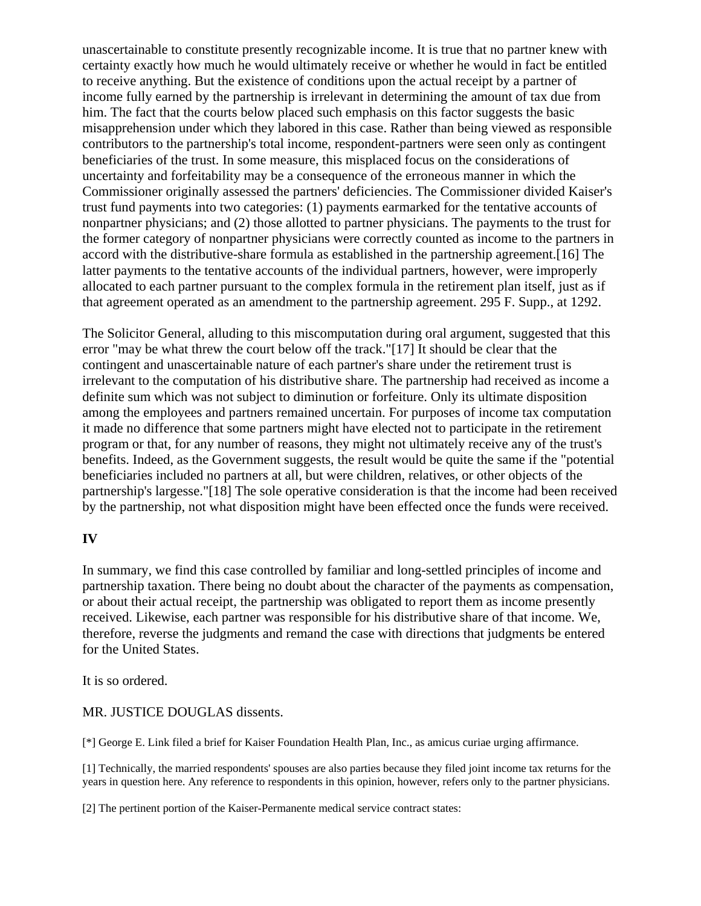unascertainable to constitute presently recognizable income. It is true that no partner knew with certainty exactly how much he would ultimately receive or whether he would in fact be entitled to receive anything. But the existence of conditions upon the actual receipt by a partner of income fully earned by the partnership is irrelevant in determining the amount of tax due from him. The fact that the courts below placed such emphasis on this factor suggests the basic misapprehension under which they labored in this case. Rather than being viewed as responsible contributors to the partnership's total income, respondent-partners were seen only as contingent beneficiaries of the trust. In some measure, this misplaced focus on the considerations of uncertainty and forfeitability may be a consequence of the erroneous manner in which the Commissioner originally assessed the partners' deficiencies. The Commissioner divided Kaiser's trust fund payments into two categories: (1) payments earmarked for the tentative accounts of nonpartner physicians; and (2) those allotted to partner physicians. The payments to the trust for the former category of nonpartner physicians were correctly counted as income to the partners in accord with the distributive-share formula as established in the partnership agreement.[16] The latter payments to the tentative accounts of the individual partners, however, were improperly allocated to each partner pursuant to the complex formula in the retirement plan itself, just as if that agreement operated as an amendment to the partnership agreement. 295 F. Supp., at 1292.

The Solicitor General, alluding to this miscomputation during oral argument, suggested that this error "may be what threw the court below off the track."[17] It should be clear that the contingent and unascertainable nature of each partner's share under the retirement trust is irrelevant to the computation of his distributive share. The partnership had received as income a definite sum which was not subject to diminution or forfeiture. Only its ultimate disposition among the employees and partners remained uncertain. For purposes of income tax computation it made no difference that some partners might have elected not to participate in the retirement program or that, for any number of reasons, they might not ultimately receive any of the trust's benefits. Indeed, as the Government suggests, the result would be quite the same if the "potential beneficiaries included no partners at all, but were children, relatives, or other objects of the partnership's largesse."[18] The sole operative consideration is that the income had been received by the partnership, not what disposition might have been effected once the funds were received.

### **IV**

In summary, we find this case controlled by familiar and long-settled principles of income and partnership taxation. There being no doubt about the character of the payments as compensation, or about their actual receipt, the partnership was obligated to report them as income presently received. Likewise, each partner was responsible for his distributive share of that income. We, therefore, reverse the judgments and remand the case with directions that judgments be entered for the United States.

It is so ordered.

MR. JUSTICE DOUGLAS dissents.

[\*] George E. Link filed a brief for Kaiser Foundation Health Plan, Inc., as amicus curiae urging affirmance.

[1] Technically, the married respondents' spouses are also parties because they filed joint income tax returns for the years in question here. Any reference to respondents in this opinion, however, refers only to the partner physicians.

[2] The pertinent portion of the Kaiser-Permanente medical service contract states: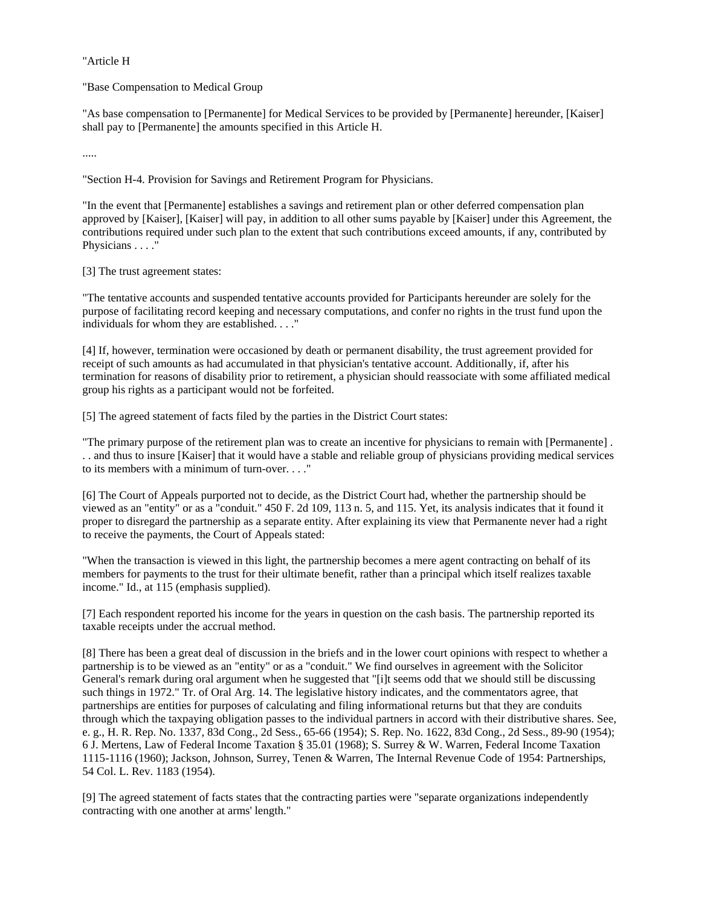"Article H

"Base Compensation to Medical Group

"As base compensation to [Permanente] for Medical Services to be provided by [Permanente] hereunder, [Kaiser] shall pay to [Permanente] the amounts specified in this Article H.

.....

"Section H-4. Provision for Savings and Retirement Program for Physicians.

"In the event that [Permanente] establishes a savings and retirement plan or other deferred compensation plan approved by [Kaiser], [Kaiser] will pay, in addition to all other sums payable by [Kaiser] under this Agreement, the contributions required under such plan to the extent that such contributions exceed amounts, if any, contributed by Physicians . . . . "

[3] The trust agreement states:

"The tentative accounts and suspended tentative accounts provided for Participants hereunder are solely for the purpose of facilitating record keeping and necessary computations, and confer no rights in the trust fund upon the individuals for whom they are established. . . ."

[4] If, however, termination were occasioned by death or permanent disability, the trust agreement provided for receipt of such amounts as had accumulated in that physician's tentative account. Additionally, if, after his termination for reasons of disability prior to retirement, a physician should reassociate with some affiliated medical group his rights as a participant would not be forfeited.

[5] The agreed statement of facts filed by the parties in the District Court states:

"The primary purpose of the retirement plan was to create an incentive for physicians to remain with [Permanente] . . . and thus to insure [Kaiser] that it would have a stable and reliable group of physicians providing medical services to its members with a minimum of turn-over. . . ."

[6] The Court of Appeals purported not to decide, as the District Court had, whether the partnership should be viewed as an "entity" or as a "conduit." 450 F. 2d 109, 113 n. 5, and 115. Yet, its analysis indicates that it found it proper to disregard the partnership as a separate entity. After explaining its view that Permanente never had a right to receive the payments, the Court of Appeals stated:

"When the transaction is viewed in this light, the partnership becomes a mere agent contracting on behalf of its members for payments to the trust for their ultimate benefit, rather than a principal which itself realizes taxable income." Id., at 115 (emphasis supplied).

[7] Each respondent reported his income for the years in question on the cash basis. The partnership reported its taxable receipts under the accrual method.

[8] There has been a great deal of discussion in the briefs and in the lower court opinions with respect to whether a partnership is to be viewed as an "entity" or as a "conduit." We find ourselves in agreement with the Solicitor General's remark during oral argument when he suggested that "[i]t seems odd that we should still be discussing such things in 1972." Tr. of Oral Arg. 14. The legislative history indicates, and the commentators agree, that partnerships are entities for purposes of calculating and filing informational returns but that they are conduits through which the taxpaying obligation passes to the individual partners in accord with their distributive shares. See, e. g., H. R. Rep. No. 1337, 83d Cong., 2d Sess., 65-66 (1954); S. Rep. No. 1622, 83d Cong., 2d Sess., 89-90 (1954); 6 J. Mertens, Law of Federal Income Taxation § 35.01 (1968); S. Surrey & W. Warren, Federal Income Taxation 1115-1116 (1960); Jackson, Johnson, Surrey, Tenen & Warren, The Internal Revenue Code of 1954: Partnerships, 54 Col. L. Rev. 1183 (1954).

[9] The agreed statement of facts states that the contracting parties were "separate organizations independently contracting with one another at arms' length."